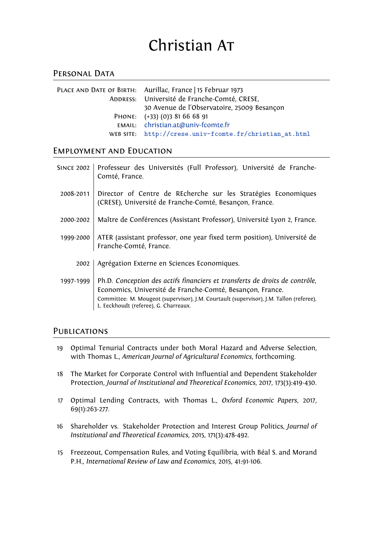# Christian AT

# PERSONAL DATA

| PLACE AND DATE OF BIRTH: Aurillac, France   15 Februar 1973 |
|-------------------------------------------------------------|
| ADDRESS: Université de Franche-Comté, CRESE,                |
| 30 Avenue de l'Observatoire, 25009 Besançon                 |
| PHONE: (+33) (0)3 81 66 68 91                               |
| EMAIL: christian.at@univ-fcomte.fr                          |
| WEB SITE: http://crese.univ-fcomte.fr/christian_at.html     |

## Employment and Edu[cation](mailto:christian.at@univ-fcomte.fr)

| <b>SINCE 2002</b> | Professeur des Universités (Full Professor), Université de Franche-<br>Comté, France.                                                                                                                                                                                        |
|-------------------|------------------------------------------------------------------------------------------------------------------------------------------------------------------------------------------------------------------------------------------------------------------------------|
| 2008-2011         | Director of Centre de REcherche sur les Stratégies Economiques<br>(CRESE), Université de Franche-Comté, Besançon, France.                                                                                                                                                    |
| 2000-2002         | Maître de Conférences (Assistant Professor), Université Lyon 2, France.                                                                                                                                                                                                      |
| 1999-2000         | ATER (assistant professor, one year fixed term position), Université de<br>Franche-Comté, France.                                                                                                                                                                            |
| 2002              | Agrégation Externe en Sciences Economiques.                                                                                                                                                                                                                                  |
| 1997-1999         | Ph.D. Conception des actifs financiers et transferts de droits de contrôle,<br>Economics, Université de Franche-Comté, Besançon, France.<br>Committee: M. Mougeot (supervisor), J.M. Courtault (supervisor), J.M. Tallon (referee),<br>L. Eeckhoudt (referee), G. Charreaux. |

## **PUBLICATIONS**

- 19 Optimal Tenurial Contracts under both Moral Hazard and Adverse Selection, with Thomas L., *American Journal of Agricultural Economics*, forthcoming.
- 18 The Market for Corporate Control with Influential and Dependent Stakeholder Protection, *Journal of Institutional and Theoretical Economics*, 2017, 173(3):419-430.
- 17 Optimal Lending Contracts, with Thomas L., *Oxford Economic Papers*, 2017, 69(1):263-277.
- 16 Shareholder vs. Stakeholder Protection and Interest Group Politics, *Journal of Institutional and Theoretical Economics*, 2015, 171(3):478-492.
- 15 Freezeout, Compensation Rules, and Voting Equilibria, with Béal S. and Morand P.H., *International Review of Law and Economics*, 2015, 41:91-106.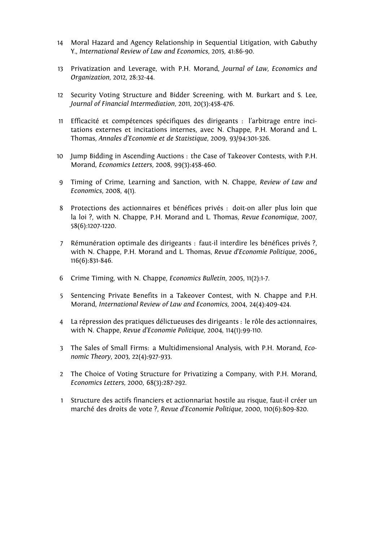- 14 Moral Hazard and Agency Relationship in Sequential Litigation, with Gabuthy Y., *International Review of Law and Economics*, 2015, 41:86-90.
- 13 Privatization and Leverage, with P.H. Morand, *Journal of Law, Economics and Organization*, 2012, 28:32-44.
- 12 Security Voting Structure and Bidder Screening, with M. Burkart and S. Lee, *Journal of Financial Intermediation*, 2011, 20(3):458-476.
- 11 Efficacité et compétences spécifiques des dirigeants : l'arbitrage entre incitations externes et incitations internes, avec N. Chappe, P.H. Morand and L. Thomas, *Annales d'Economie et de Statistique*, 2009, 93/94:301-326.
- 10 Jump Bidding in Ascending Auctions : the Case of Takeover Contests, with P.H. Morand, *Economics Letters*, 2008, 99(3):458-460.
- 9 Timing of Crime, Learning and Sanction, with N. Chappe, *Review of Law and Economics*, 2008, 4(1).
- 8 Protections des actionnaires et bénéfices privés : doit-on aller plus loin que la loi ?, with N. Chappe, P.H. Morand and L. Thomas, *Revue Economique*, 2007, 58(6):1207-1220.
- 7 Rémunération optimale des dirigeants : faut-il interdire les bénéfices privés ?, with N. Chappe, P.H. Morand and L. Thomas, *Revue d'Economie Politique*, 2006,, 116(6):831-846.
- 6 Crime Timing, with N. Chappe, *Economics Bulletin*, 2005, 11(2):1-7.
- 5 Sentencing Private Benefits in a Takeover Contest, with N. Chappe and P.H. Morand, *International Review of Law and Economics*, 2004, 24(4):409-424.
- 4 La répression des pratiques délictueuses des dirigeants : le rôle des actionnaires, with N. Chappe, *Revue d'Economie Politique*, 2004, 114(1):99-110.
- 3 The Sales of Small Firms: a Multidimensional Analysis, with P.H. Morand, *Economic Theory*, 2003, 22(4):927-933.
- 2 The Choice of Voting Structure for Privatizing a Company, with P.H. Morand, *Economics Letters*, 2000, 68(3):287-292.
- 1 Structure des actifs financiers et actionnariat hostile au risque, faut-il créer un marché des droits de vote ?, *Revue d'Economie Politique*, 2000, 110(6):809-820.